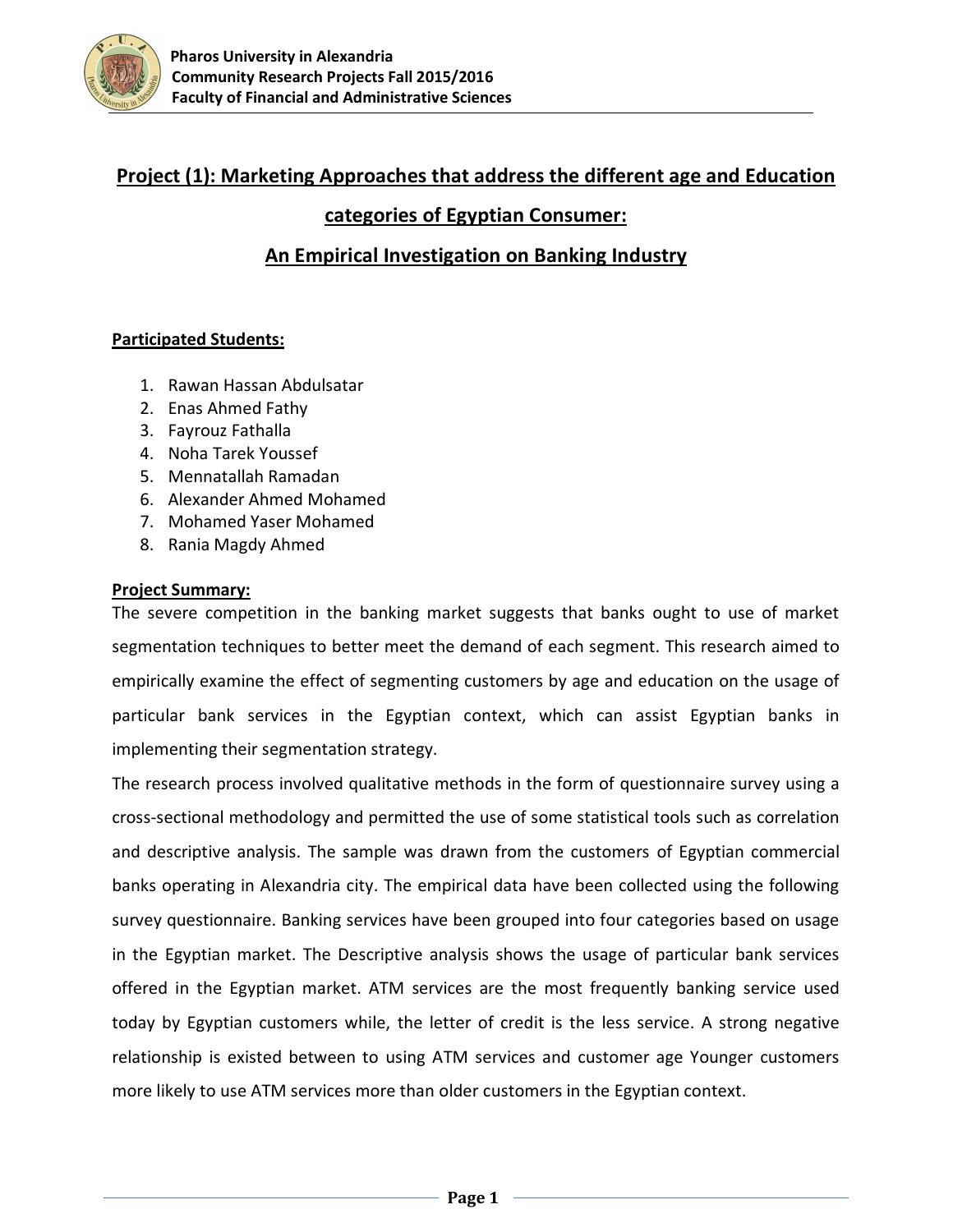

# **Project (1): Marketing Approaches that address the different age and Education**

### **categories of Egyptian Consumer:**

## **An Empirical Investigation on Banking Industry**

#### **Participated Students:**

- 1. Rawan Hassan Abdulsatar
- 2. Enas Ahmed Fathy
- 3. Fayrouz Fathalla
- 4. Noha Tarek Youssef
- 5. Mennatallah Ramadan
- 6. Alexander Ahmed Mohamed
- 7. Mohamed Yaser Mohamed
- 8. Rania Magdy Ahmed

#### **Project Summary:**

The severe competition in the banking market suggests that banks ought to use of market segmentation techniques to better meet the demand of each segment. This research aimed to empirically examine the effect of segmenting customers by age and education on the usage of particular bank services in the Egyptian context, which can assist Egyptian banks in implementing their segmentation strategy.

The research process involved qualitative methods in the form of questionnaire survey using a cross-sectional methodology and permitted the use of some statistical tools such as correlation and descriptive analysis. The sample was drawn from the customers of Egyptian commercial banks operating in Alexandria city. The empirical data have been collected using the following survey questionnaire. Banking services have been grouped into four categories based on usage in the Egyptian market. The Descriptive analysis shows the usage of particular bank services offered in the Egyptian market. ATM services are the most frequently banking service used today by Egyptian customers while, the letter of credit is the less service. A strong negative relationship is existed between to using ATM services and customer age Younger customers more likely to use ATM services more than older customers in the Egyptian context.